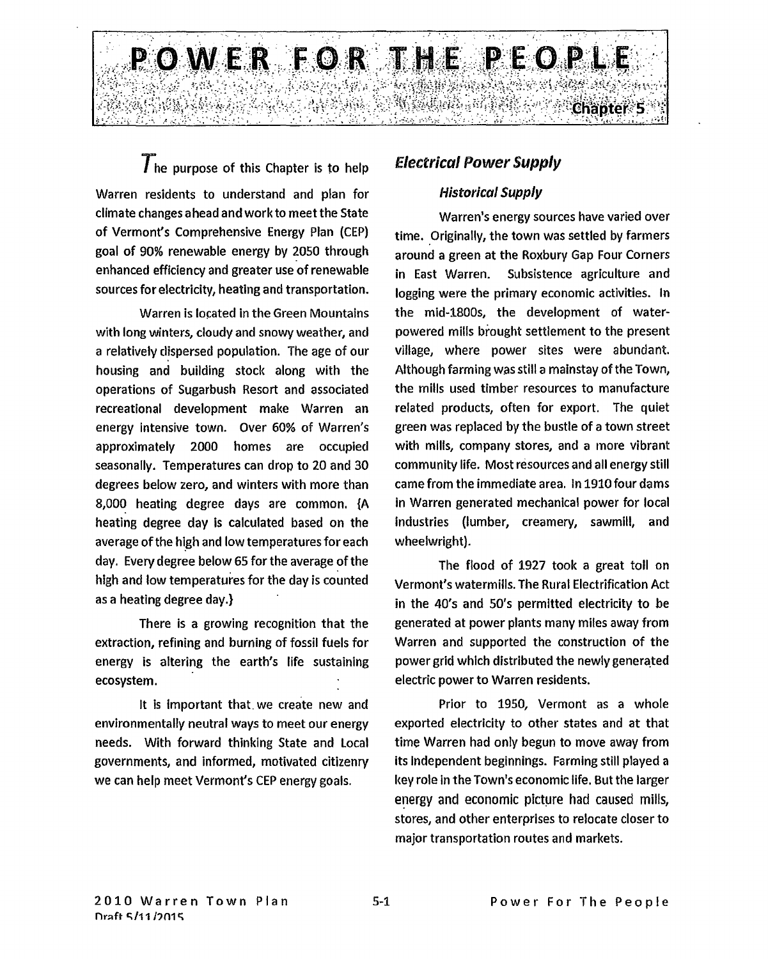

 $\overline{T}$ he purpose of this Chapter is to help Warren residents to understand and plan for climate changes ahead and work to meet the State of Vermont's Comprehensive Energy Plan (CEP) goal of 90% renewable energy by 2050 through enhanced efficiency and greater use of renewable sources for electricity, heating and transportation.

Warren is located in the Green Mountains with long winters, cloudy and snowy weather, and a relatively dispersed population. The age of our housing and building stock along with the operations of Sugarbush Resort and associated recreational development make Warren an energy intensive town. Over 60% of Warren's approximately 2000 homes are occupied seasonally. Temperatures can drop to 20 and 30 degrees below zero, and winters with more than 8,000 heating degree days are common. (A heating degree day is calculated based on the average of the high and low temperatures for each day. Every degree below 65 for the average of the high and low temperatures for the day is counted as a heating degree day.)

There is a growing recognition that the extraction, refining and burning of fossil fuels for energy is altering the earth's life sustaining ecosystem.

It is important that. we create new and environmentally neutral ways to meet our energy needs. With forward thinking State and Local governments, and informed, motivated citizenry we can help meet Vermont's CEP energy goals.

# *Electrical Power Supply*

# *Historical Supply*

Warren's energy sources have varied over time. Originally, the town was settled by farmers around a green at the Roxbury Gap Four Corners in East Warren. Subsistence agriculture and logging were the primary economic activities. In the mid-1800s, the development of waterpowered mills brought settlement to the present village, where power sites were abundant. Although farming was still a mainstay of the Town, the mills used timber resources to manufacture related products, often for export. The quiet green was replaced by the bustle of a town street with mills, company stores, and a more vibrant community life. Most resources and all energy still came from the immediate area. In 1910 four dams in Warren generated mechanical power for local industries (lumber, creamery, sawmill, and wheelwright).

The flood of 1927 took a great toll on Vermont's watermills. The Rural Electrification Act in the 40's and 50's permitted electricity to be generated at power plants many miles away from Warren and supported the construction of the power grid which distributed the newly generated electric power to Warren residents.

Prior to 1950, Vermont as a whole exported electricity to other states and at that time Warren had only begun to move away from its Independent beginnings. Farming still played a key role in the Town's economic life. But the larger energy and economic picture had caused mills, stores, and other enterprises to relocate closer to major transportation routes and markets.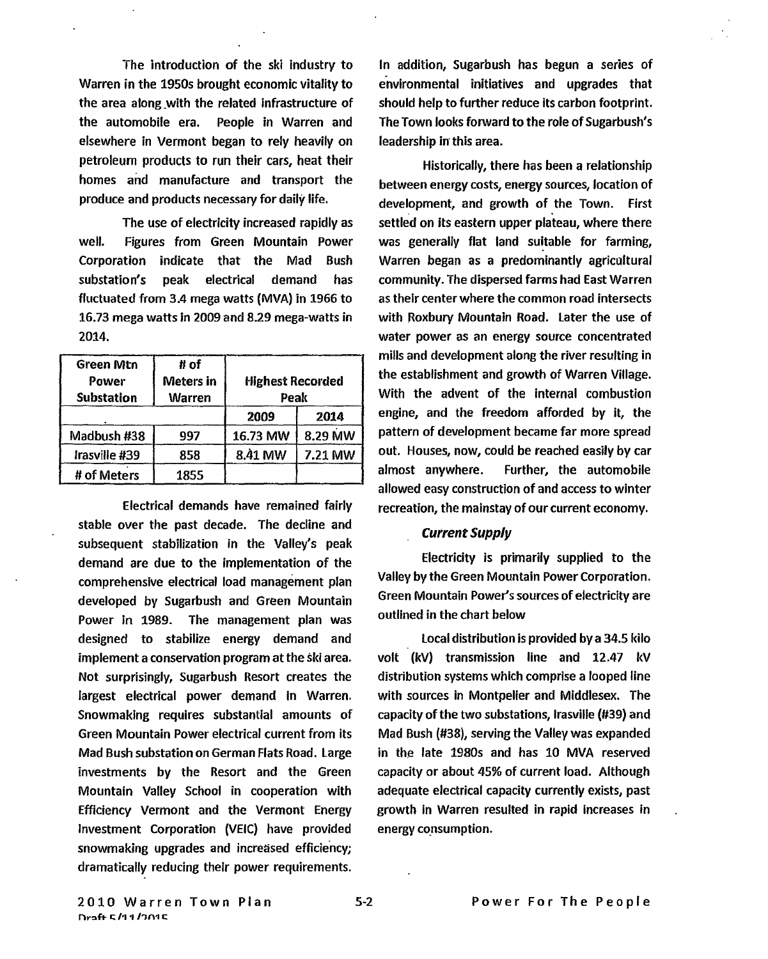The introduction of the ski industry to Warren in the 1950s brought economic vitality to the area along with the related infrastructure of the automobile era. People in Warren and elsewhere in Vermont began to rely heavily on petroleum products to run their cars, heat their homes and manufacture and transport the produce and products necessary for daily life.

The use of electricity increased rapidly as well. Figures from Green Mountain Power Corporation indicate that the Mad Bush substation's peak electrical demand has fluctuated from 3.4 mega watts (MVA) in 1966 to 16.73 mega watts in 2009 and 8.29 mega-watts in 2014.

| <b>Green Mtn</b><br>Power<br><b>Substation</b> | # of<br><b>Meters</b> in<br><b>Warren</b> | <b>Highest Recorded</b><br>Peak |         |
|------------------------------------------------|-------------------------------------------|---------------------------------|---------|
|                                                |                                           | 2009                            | 2014    |
| Madbush #38                                    | 997                                       | 16.73 MW                        | 8.29 MW |
| Irasville #39                                  | 858                                       | 8.41 MW                         | 7.21 MW |
| # of Meters                                    | 1855                                      |                                 |         |

Electrical demands have remained fairly stable over the past decade. The decline and subsequent stabilization in the Valley's peak demand are due to the implementation of the comprehensive electrical load management plan developed by Sugarbush and Green Mountain Power in 1989. The management plan was designed to stabilize energy demand and implement a conservation program at the ski area. Not surprisingly, Sugarbush Resort creates the largest electrical power demand in Warren. Snowmaking requires substantial amounts of Green Mountain Power electrical current from its Mad Bush substation on German Flats Road. Large investments by the Resort and the Green Mountain Valley School in cooperation with Efficiency Vermont and the Vermont Energy Investment Corporation (VEIC) have provided snowmaking upgrades and increased efficiency; dramatically reducing their power requirements.

In addition, Sugarbush has begun a series of environmental initiatives and upgrades that should help to further reduce its carbon footprint. The Town looks forward to the role of Sugarbush's leadership **in** this area.

Historically, there has been a relationship between energy costs, energy sources, location of development, and growth of the Town. First settled on its eastern upper plateau, where there was generally flat land suitable for farming, Warren began as a predominantly agricultural community. The dispersed farms had East Warren as their center where the common road intersects with Roxbury Mountain Road. Later the use of water power as an energy source concentrated mills and development along the river resulting in the establishment and growth of Warren Village. With the advent of the internal combustion engine, and the freedom afforded by it, the pattern of development became far more spread out. Houses, now, could be reached easily by car almost anywhere. Further, the automobile allowed easy construction of and access to winter recreation, the mainstay of our current economy.

#### *Current Supply*

Electricity is primarily supplied to the Valley by the Green Mountain Power Corporation. Green Mountain Power's sources of electricity are outlined in the chart below

Local distribution is provided by a 34.5 kilo volt (kV) transmission line and 12.47 kV distribution systems which comprise a looped line with sources in Montpelier and Middlesex. The capacity of the two substations, Irasville (#39) and Mad Bush (#38), serving the Valley was expanded in the late 1980s and has 10 MVA reserved capacity or about 45% of current load. Although adequate electrical capacity currently exists, past growth in Warren resulted in rapid increases in energy consumption.

2010 Warren Town Plan 5-2 Power For The People **Proft 5/11/2015**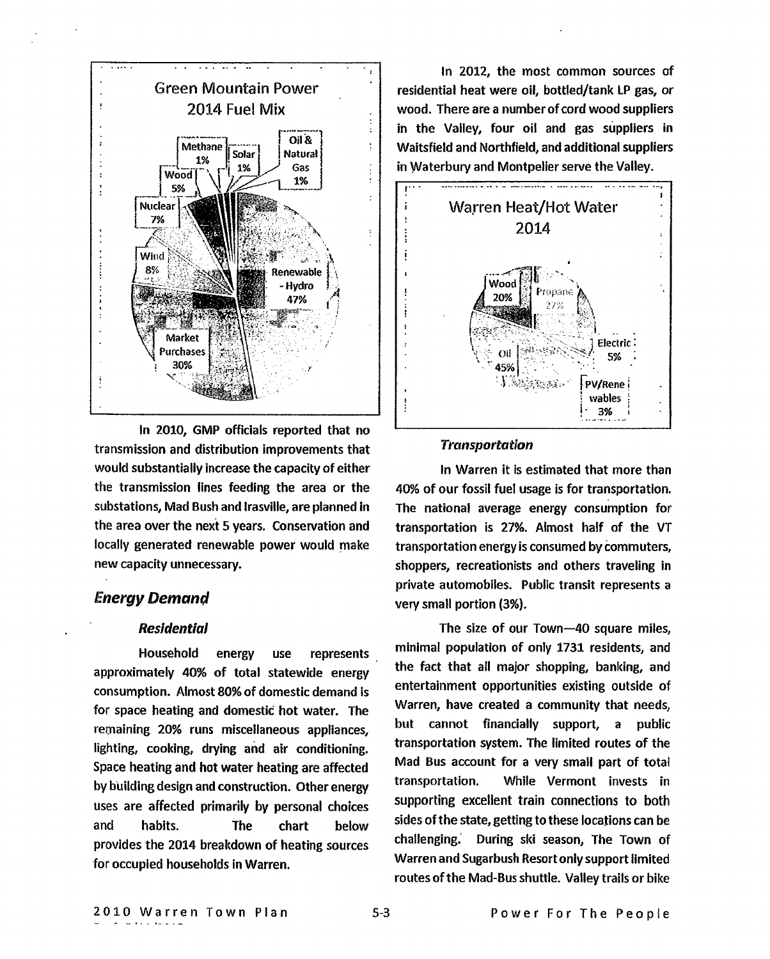

In 2010, GMP officials reported that no transmission and distribution improvements that would substantially increase the capacity of either the transmission lines feeding the area or the substations, Mad Bush and Irasville, are planned in the area over the next 5 years. Conservation and locally generated renewable power would make new capacity unnecessary.

## *Energy Demand*

#### **Residential**

Household energy use represents approximately 40% of total statewide energy consumption. Almost 80% of domestic demand is for space heating and domestic hot water. The remaining 20% runs miscellaneous appliances, lighting, cooking, drying and air conditioning. Space heating and hot water heating are affected by building design and construction. Other energy uses are affected primarily by personal choices and habits. The chart below provides the 2014 breakdown of heating sources for occupied households in Warren.

In 2012, the most common sources of residential heat were oil, bottled/tank LP gas, or wood. There are a number of cord wood suppliers in the Valley, four oil and gas suppliers in Waitsfield and Northfield, and additional suppliers in Waterbury and Montpelier serve the Valley.



#### *Transportation*

In Warren it is estimated that more than 40% of our fossil fuel usage is for transportation. The national average energy consumption for transportation is 27%. Almost half of the VT transportation energy is consumed by Commuters, shoppers, recreationists and others traveling in private automobiles. Public transit represents a very small portion (3%).

The size of our Town-40 square miles, minimal population of only 1731 residents, and the fact that all major shopping, banking, and entertainment opportunities existing outside of Warren, have created a community that needs, but cannot financially support, a public transportation system. The limited routes of the Mad Bus account for a very small part of total transportation. While Vermont invests in supporting excellent train connections to both sides of the state, getting to these locations can be challenging: During ski season, The Town of Warren and Sugarbush Resort only support limited routes of the Mad-Bus shuttle. Valley trails or bike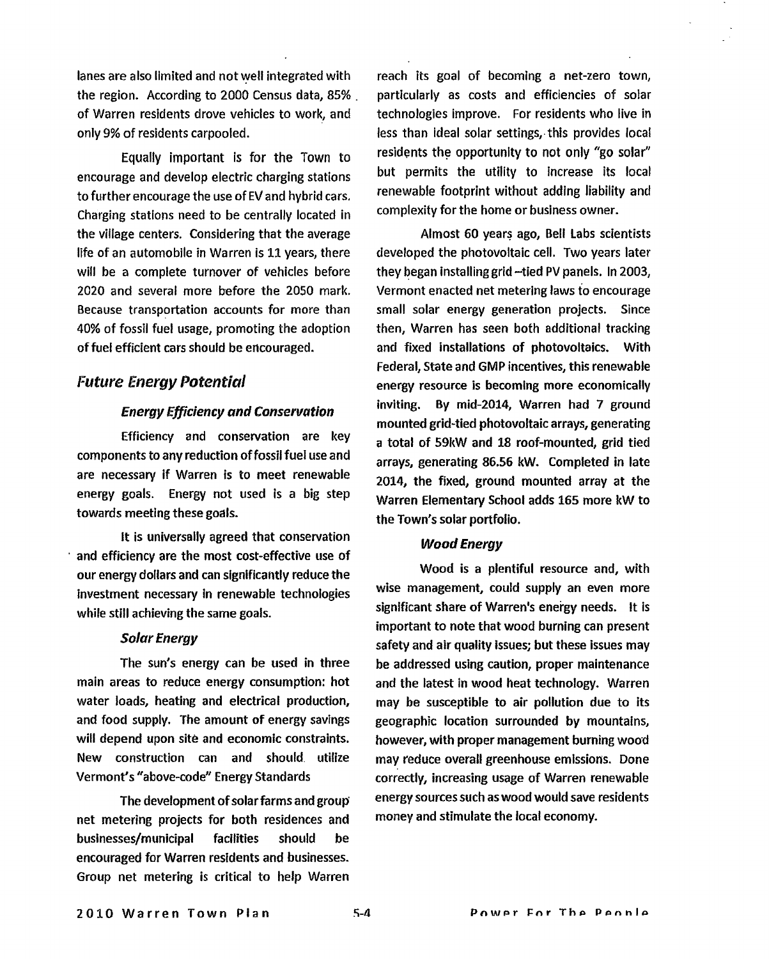lanes are also limited and not well integrated with the region. According to 2000 Census data, 85% of Warren residents drove vehicles to work, and only 9% of residents carpooled.

Equally important is for the Town to encourage and develop electric charging stations to further encourage the use of EV and hybrid cars. Charging stations need to be centrally located in the village centers. Considering that the average life of an automobile in Warren is 11 years, there will be a complete turnover of vehicles before 2020 and several more before the 2050 mark. Because transportation accounts for more than 40% of fossil fuel usage, promoting the adoption of fuel efficient cars should be encouraged.

### **Future Energy Potential**

#### *Energy Efficiency and Conservation*

Efficiency and conservation are key components to any reduction of fossil fuel use and are necessary if Warren is to meet renewable energy goals. Energy not used is a big step towards meeting these goals.

It is universally agreed that conservation and efficiency are the most cost-effective use of our energy dollars and can significantly reduce the investment necessary in renewable technologies while still achieving the same goals.

#### *Solar Energy*

The sun's energy can be used in three main areas to reduce energy consumption: hot water loads, heating and electrical production, and food supply. The amount of energy savings will depend upon site and economic constraints. New construction can and should utilize Vermont's "above-code" Energy Standards

The development of solar farms and group net metering projects for both residences and businesses/municipal facilities should be encouraged for Warren residents and businesses. Group net metering is critical to help Warren reach its goal of becoming a net-zero town, particularly as costs and efficiencies of solar technologies improve. For residents who live in less than ideal solar settings, this provides local residents the opportunity to not only "go solar" but permits the utility to increase its local renewable footprint without adding liability and complexity for the home or business owner.

Almost 60 years ago, Bell Labs scientists developed the photovoltaic cell. Two years later they began installing grid —tied PV panels. In 2003, Vermont enacted net metering laws to encourage small solar energy generation projects. Since then, Warren has seen both additional tracking and fixed installations of photovoltaics. With Federal, State and GMP incentives, this renewable energy resource is becoming more economically inviting. By mid-2014, Warren had 7 ground mounted grid-tied photovoltaic arrays, generating a total of 59kW and 18 roof-mounted, grid tied arrays, generating 86.56 kW. Completed in late 2014, the fixed, ground mounted array at the Warren Elementary School adds 165 more kW to the Town's solar portfolio.

#### *Wood Energy*

Wood is a plentiful resource and, with wise management, could supply an even more significant share of Warren's energy needs. It is important to note that wood burning can present safety and air quality issues; but these issues may be addressed using caution, proper maintenance and the latest in wood heat technology. Warren may be susceptible to air pollution due to its geographic location surrounded by mountains, however, with proper management burning woad may reduce overall greenhouse emissions. Done correctly, increasing usage of Warren renewable energy sources such as wood would save residents money and stimulate the local economy.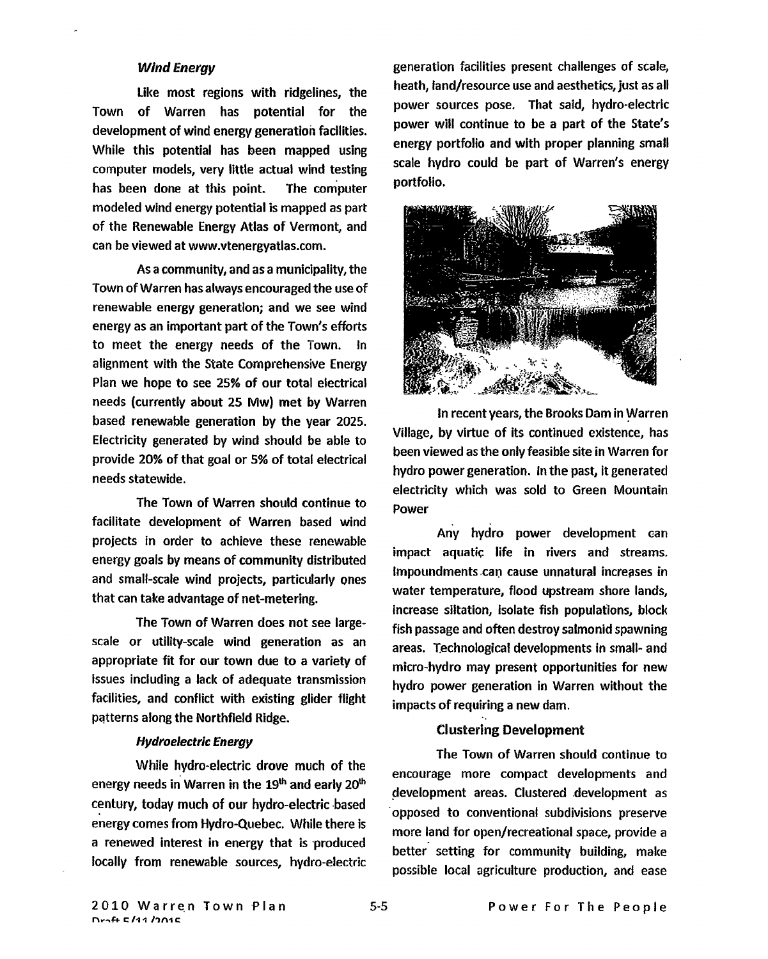#### *Wind Energy*

Like most regions with ridgelines, the Town of Warren has potential for the development of wind energy generation facilities. While this potential has been mapped using computer models, very little actual wind testing has been done at this point. The computer modeled wind energy potential is mapped as part of the Renewable Energy Atlas of Vermont, and can be viewed at www.vtenergyatlas.com.

As a community, and as a municipality, the Town of Warren has always encouraged the use of renewable energy generation; and we see wind energy as an important part of the Town's efforts to meet the energy needs of the Town. In alignment with the State Comprehensive Energy Plan we hope to see 25% of our total electrical needs (currently about 25 **Mw)** met by Warren based renewable generation by the year 2025. Electricity generated by wind should be able to provide 20% of that goal or 5% of total electrical needs statewide.

The Town of Warren should continue to facilitate development of Warren based wind projects in order to achieve these renewable energy goals by means of community distributed and small-scale wind projects, particularly ones that can take advantage of net-metering.

The Town of Warren does not see largescale or utility-scale wind generation as an appropriate fit for our town due to a variety of issues including a lack of adequate transmission facilities, and conflict with existing glider flight patterns along the Northfield Ridge.

#### *Hydroelectric Energy*

While hydro-electric drove much of the energy needs in Warren in the 19<sup>th</sup> and early 20<sup>th</sup> century, today much of our hydro-electric based energy comes from Hydro-Quebec. While there is a renewed interest in energy that is produced locally from renewable sources, hydro-electric generation facilities present challenges of scale, heath, land/resource use and aesthetics, just as all power sources pose. That said, hydro-electric power will continue to be a part of the State's energy portfolio and with proper planning small scale hydro could be part of Warren's energy portfolio.



In recent years, the Brooks Dam in Warren Village, by virtue of its continued existence, has been viewed as the only feasible site in Warren for hydro power generation. in the past, it generated electricity which was sold to Green Mountain Power

Any hydro power development can impact aquatic life in rivers and streams. Impoundments .can cause unnatural increases in water temperature, flood upstream shore lands, increase siltation, Isolate fish populations, block fish passage and often destroy salmonid spawning areas. Technological developments in small- and micro-hydro may present opportunities for new hydro power generation in Warren without the impacts of requiring a new dam.

#### **Clustering Development**

The Town of Warren should continue to encourage more compact developments and development areas. Clustered development as 'opposed to conventional subdivisions preserve more land for open/recreational space, provide a better setting for community building, make possible local agriculture production, and ease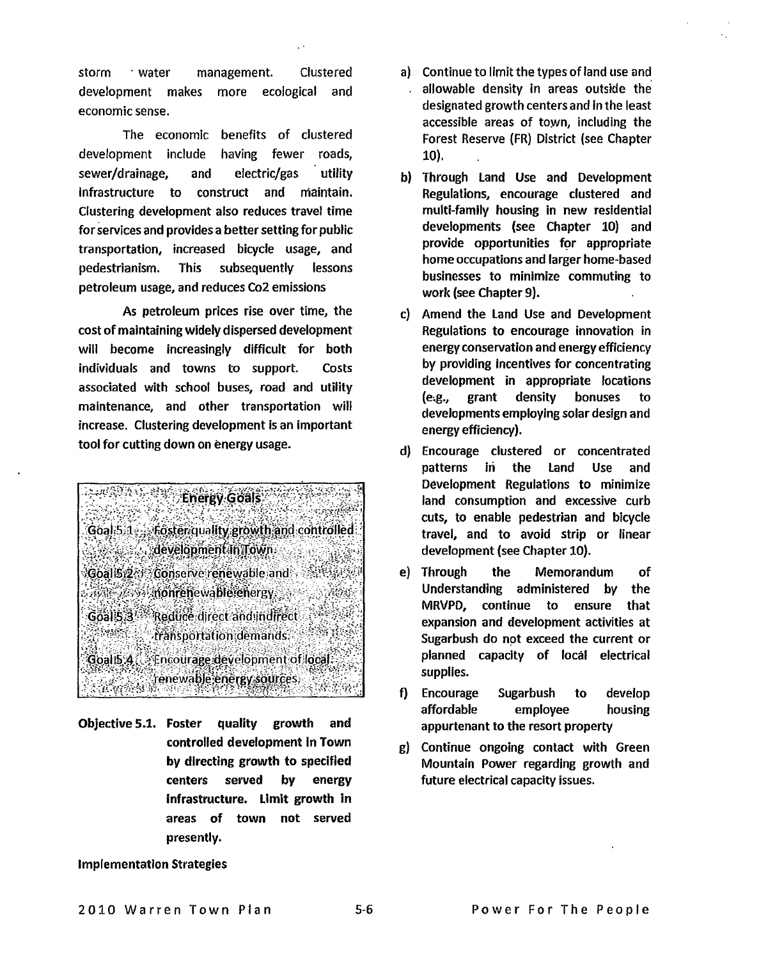storm water management. Clustered development makes more ecological and economic sense.

The economic benefits of clustered development include having fewer roads, sewer/drainage, and electric/gas utility Infrastructure to construct and maintain. Clustering development also reduces travel time for services and provides a better setting for public transportation, increased bicycle usage, and pedestrianism. This subsequently lessons petroleum usage, and reduces Co2 emissions

As petroleum prices rise over time, the cost of maintaining widely dispersed development will become increasingly difficult for both individuals and towns to support. Costs associated with school buses, road and utility maintenance, and other transportation will increase. Clustering development is an important tool for cutting down on energy usage.



Objective 5.1. Foster **quality growth and controlled development in Town by directing growth to specified centers served by energy infrastructure. Limit growth in areas of town not served presently.** 

- **a) Continue to limit the types of land use and allowable density in areas outside the designated growth centers and in the least accessible areas of town, including the Forest Reserve (FR) District (see Chapter 10).**
- **b) Through Land Use and Development Regulations, encourage clustered and multi-family housing in new residential developments (see Chapter 10) and provide opportunities for appropriate home occupations and larger home-based businesses to minimize commuting to work (see Chapter 9).**
- **c) Amend the Land Use and** Development Regulations to encourage innovation in energy conservation and energy efficiency by providing incentives for concentrating development in appropriate locations (e:g., grant density **bonuses to developments employing solar design and**  energy efficiency).
- d) Encourage clustered or concentrated patterns in the Land Use and Development Regulations to minimize land consumption and excessive curb cuts, to enable pedestrian and bicycle travel, and to avoid strip or linear development (see Chapter 10).
- e) Through the Memorandum of Understanding administered by the MRVPD, continue to ensure that expansion and development activities at Sugarbush do not exceed the current or planned capacity of local electrical supplies.
- f) Encourage Sugarbush to develop affordable employee housing appurtenant to the resort property
- g) Continue ongoing contact with Green Mountain Power regarding growth and future electrical capacity issues.

#### **Implementation Strategies**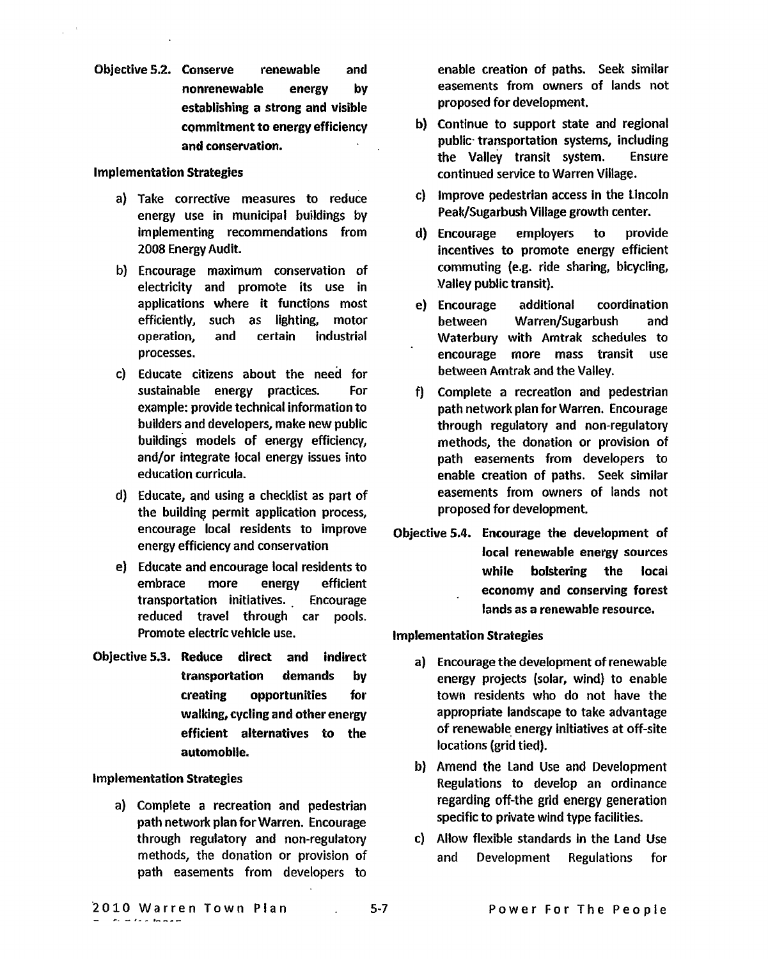Objective 5.2. Conserve renewable and nonrenewable energy by establishing a strong and visible commitment to energy efficiency and conservation.

#### Implementation Strategies

- a) Take corrective measures to reduce energy use in municipal buildings by implementing recommendations from 2008 Energy Audit.
- b) Encourage maximum conservation of electricity and promote its use in applications where it functions most efficiently, such as lighting, motor operation, and certain industrial processes.
- c) Educate citizens about the need for sustainable energy practices. For example: provide technical information to builders and developers, make new public buildings models of energy efficiency, and/or integrate local energy issues into education curricula.
- d) Educate, and using a checklist as part of the building permit application process, encourage local residents to improve energy efficiency and conservation
- e) Educate and encourage local residents to embrace more energy efficient transportation initiatives. Encourage reduced travel through car pools. Promote electric vehicle use.
- Objective 5.3. **Reduce direct and indirect transportation demands by creating opportunities for walking, cycling and other energy efficient alternatives to the automobile.**

#### **Implementation Strategies**

a) Complete a recreation and pedestrian path network plan for Warren. Encourage through regulatory and non-regulatory methods, the donation or provision of path easements from developers to enable creation of paths. Seek similar easements from owners of lands not proposed for development.

- b) Continue to support state and regional public- transportation systems, including the Valley transit system. Ensure continued service to Warren Village.
- c) Improve pedestrian access in the Lincoln Peak/Sugarbush Village growth center.
- d) Encourage employers to provide incentives to promote energy efficient commuting (e.g. ride sharing, bicycling, Valley public transit).
- ej Encourage additional coordination between Warren/Sugarbush and Waterbury with Amtrak schedules to encourage more mass transit use between Amtrak and the Valley.
- f) Complete a recreation and pedestrian path network plan for Warren. Encourage through regulatory and non-regulatory methods, the donation or provision of path easements from developers to enable creation of paths. Seek similar easements from owners of lands not proposed for development.
- **Objective 5.4. Encourage the development of local renewable energy sources while bolstering the local economy and conserving forest lands as a renewable resource.**

#### **Implementation Strategies**

- a) Encourage the development of renewable energy projects (solar, wind) to enable town residents who do not have the appropriate landscape to take advantage of renewable energy initiatives at off-site locations (grid tied).
- b) Amend the Land Use and Development Regulations to develop an ordinance regarding off-the grid energy generation specific to private wind type facilities.
- c) Allow flexible standards in the Land Use and Development Regulations for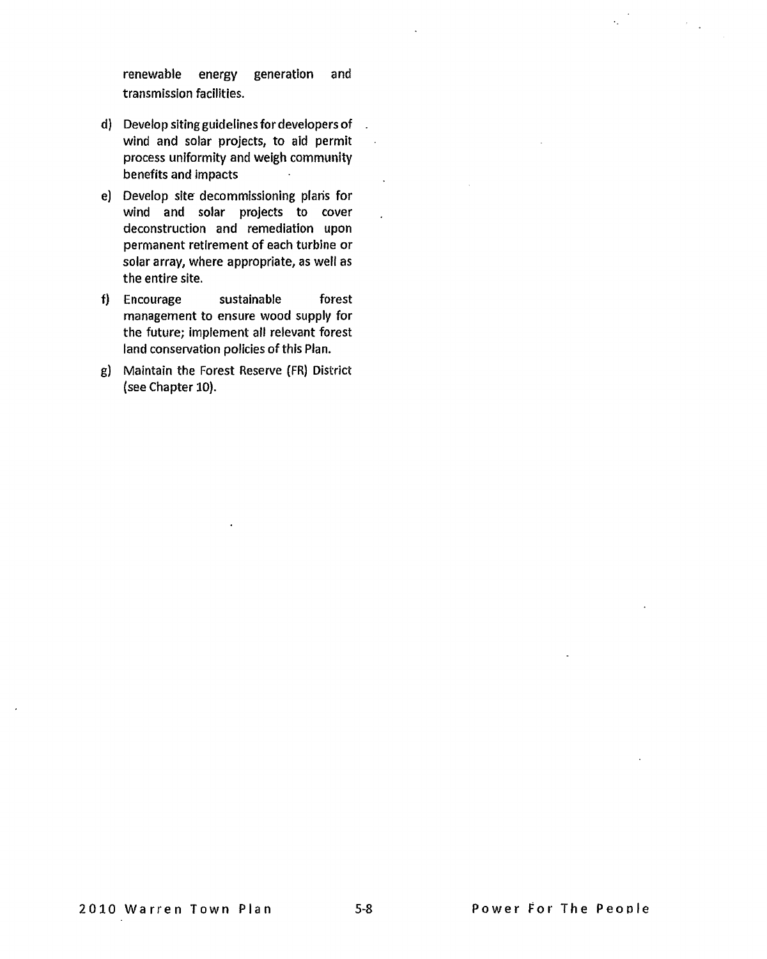renewable energy generation and transmission facilities.

- d) Develop siting guidelines for developers of wind and solar projects, to aid permit process uniformity and weigh community benefits and impacts
- e) Develop site decommissioning plans for wind and solar projects to cover deconstruction and remediation upon permanent retirement of each turbine or solar array, where appropriate, as well as the entire site.
- f) Encourage sustainable forest management to ensure wood supply for the future; implement all relevant forest land conservation policies of this Plan.
- g) Maintain the Forest Reserve (FR) District (see Chapter 10).

 $\ddot{\phantom{a}}$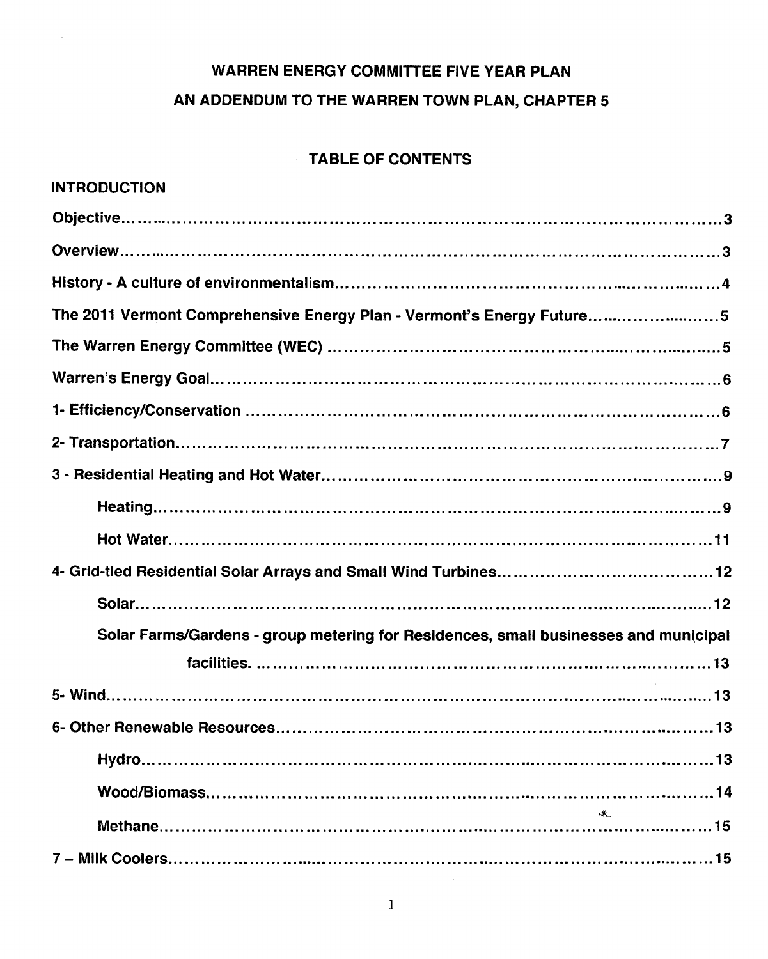# **WARREN ENERGY COMMITTEE FIVE YEAR PLAN AN ADDENDUM TO THE WARREN TOWN PLAN, CHAPTER 5**

# **TABLE OF CONTENTS**

| <b>INTRODUCTION</b>                                                                 |
|-------------------------------------------------------------------------------------|
|                                                                                     |
|                                                                                     |
|                                                                                     |
| The 2011 Vermont Comprehensive Energy Plan - Vermont's Energy Future5               |
|                                                                                     |
|                                                                                     |
|                                                                                     |
|                                                                                     |
|                                                                                     |
|                                                                                     |
|                                                                                     |
|                                                                                     |
|                                                                                     |
| Solar Farms/Gardens - group metering for Residences, small businesses and municipal |
|                                                                                     |
|                                                                                     |
|                                                                                     |
|                                                                                     |
|                                                                                     |
|                                                                                     |
|                                                                                     |